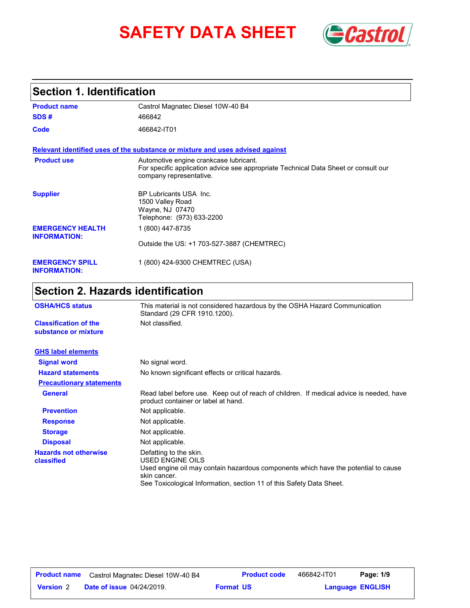# **SAFETY DATA SHEET** *Castrol*



### **Section 1. Identification**

| <b>Product name</b>                            | Castrol Magnatec Diesel 10W-40 B4                                                                                                                        |
|------------------------------------------------|----------------------------------------------------------------------------------------------------------------------------------------------------------|
| SDS#                                           | 466842                                                                                                                                                   |
| Code                                           | 466842-IT01                                                                                                                                              |
|                                                | Relevant identified uses of the substance or mixture and uses advised against                                                                            |
| <b>Product use</b>                             | Automotive engine crankcase lubricant.<br>For specific application advice see appropriate Technical Data Sheet or consult our<br>company representative. |
| <b>Supplier</b>                                | BP Lubricants USA Inc.<br>1500 Valley Road<br>Wayne, NJ 07470<br>Telephone: (973) 633-2200                                                               |
| <b>EMERGENCY HEALTH</b><br><b>INFORMATION:</b> | 1 (800) 447-8735                                                                                                                                         |
|                                                | Outside the US: +1 703-527-3887 (CHEMTREC)                                                                                                               |
| <b>EMERGENCY SPILL</b><br><b>INFORMATION:</b>  | 1 (800) 424-9300 CHEMTREC (USA)                                                                                                                          |

## **Section 2. Hazards identification**

| <b>OSHA/HCS status</b>                               | This material is not considered hazardous by the OSHA Hazard Communication<br>Standard (29 CFR 1910.1200).                                                                                                               |  |
|------------------------------------------------------|--------------------------------------------------------------------------------------------------------------------------------------------------------------------------------------------------------------------------|--|
| <b>Classification of the</b><br>substance or mixture | Not classified.                                                                                                                                                                                                          |  |
| <b>GHS label elements</b>                            |                                                                                                                                                                                                                          |  |
| <b>Signal word</b>                                   | No signal word.                                                                                                                                                                                                          |  |
| <b>Hazard statements</b>                             | No known significant effects or critical hazards.                                                                                                                                                                        |  |
| <b>Precautionary statements</b>                      |                                                                                                                                                                                                                          |  |
| <b>General</b>                                       | Read label before use. Keep out of reach of children. If medical advice is needed, have<br>product container or label at hand.                                                                                           |  |
| <b>Prevention</b>                                    | Not applicable.                                                                                                                                                                                                          |  |
| <b>Response</b>                                      | Not applicable.                                                                                                                                                                                                          |  |
| <b>Storage</b>                                       | Not applicable.                                                                                                                                                                                                          |  |
| <b>Disposal</b>                                      | Not applicable.                                                                                                                                                                                                          |  |
| <b>Hazards not otherwise</b><br>classified           | Defatting to the skin.<br>USED ENGINE OILS<br>Used engine oil may contain hazardous components which have the potential to cause<br>skin cancer.<br>See Toxicological Information, section 11 of this Safety Data Sheet. |  |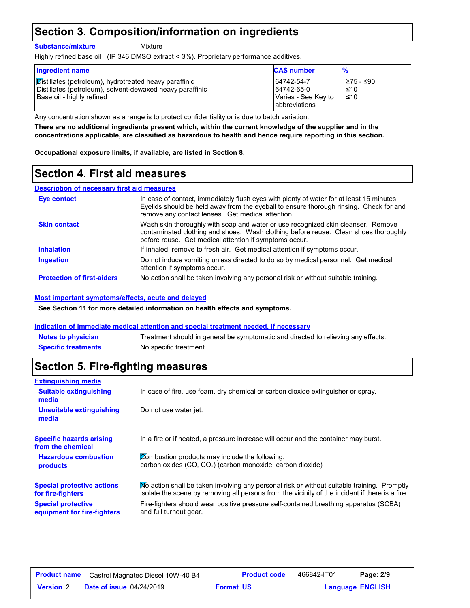### **Section 3. Composition/information on ingredients**

**Substance/mixture**

Mixture

Highly refined base oil (IP 346 DMSO extract < 3%). Proprietary performance additives.

| <b>Ingredient name</b>                                                                                                                           | <b>CAS number</b>                                                       | $\frac{9}{6}$           |
|--------------------------------------------------------------------------------------------------------------------------------------------------|-------------------------------------------------------------------------|-------------------------|
| Distillates (petroleum), hydrotreated heavy paraffinic<br>Distillates (petroleum), solvent-dewaxed heavy paraffinic<br>Base oil - highly refined | 64742-54-7<br>64742-65-0<br>Varies - See Key to<br><b>abbreviations</b> | ≥75 - ≤90<br>≤10<br>≤10 |

Any concentration shown as a range is to protect confidentiality or is due to batch variation.

**There are no additional ingredients present which, within the current knowledge of the supplier and in the concentrations applicable, are classified as hazardous to health and hence require reporting in this section.**

**Occupational exposure limits, if available, are listed in Section 8.**

### **Section 4. First aid measures**

#### **Description of necessary first aid measures**

| Eye contact                       | In case of contact, immediately flush eyes with plenty of water for at least 15 minutes.<br>Evelids should be held away from the eyeball to ensure thorough rinsing. Check for and<br>remove any contact lenses. Get medical attention. |
|-----------------------------------|-----------------------------------------------------------------------------------------------------------------------------------------------------------------------------------------------------------------------------------------|
| <b>Skin contact</b>               | Wash skin thoroughly with soap and water or use recognized skin cleanser. Remove<br>contaminated clothing and shoes. Wash clothing before reuse. Clean shoes thoroughly<br>before reuse. Get medical attention if symptoms occur.       |
| <b>Inhalation</b>                 | If inhaled, remove to fresh air. Get medical attention if symptoms occur.                                                                                                                                                               |
| <b>Ingestion</b>                  | Do not induce vomiting unless directed to do so by medical personnel. Get medical<br>attention if symptoms occur.                                                                                                                       |
| <b>Protection of first-aiders</b> | No action shall be taken involving any personal risk or without suitable training.                                                                                                                                                      |

#### **Most important symptoms/effects, acute and delayed**

**See Section 11 for more detailed information on health effects and symptoms.**

#### **Indication of immediate medical attention and special treatment needed, if necessary**

| <b>Notes to physician</b>  | Treatment should in general be symptomatic and directed to relieving any effects. |
|----------------------------|-----------------------------------------------------------------------------------|
| <b>Specific treatments</b> | No specific treatment.                                                            |

### **Section 5. Fire-fighting measures**

| <b>Extinguishing media</b>                               |                                                                                                                                                                                                |
|----------------------------------------------------------|------------------------------------------------------------------------------------------------------------------------------------------------------------------------------------------------|
| <b>Suitable extinguishing</b><br>media                   | In case of fire, use foam, dry chemical or carbon dioxide extinguisher or spray.                                                                                                               |
| Unsuitable extinguishing<br>media                        | Do not use water jet.                                                                                                                                                                          |
| <b>Specific hazards arising</b><br>from the chemical     | In a fire or if heated, a pressure increase will occur and the container may burst.                                                                                                            |
| <b>Hazardous combustion</b><br>products                  | Combustion products may include the following:<br>carbon oxides (CO, CO <sub>2</sub> ) (carbon monoxide, carbon dioxide)                                                                       |
| <b>Special protective actions</b><br>for fire-fighters   | No action shall be taken involving any personal risk or without suitable training. Promptly<br>isolate the scene by removing all persons from the vicinity of the incident if there is a fire. |
| <b>Special protective</b><br>equipment for fire-fighters | Fire-fighters should wear positive pressure self-contained breathing apparatus (SCBA)<br>and full turnout gear.                                                                                |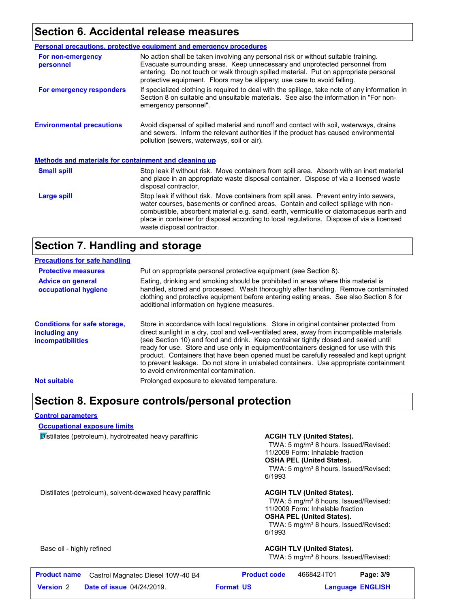### **Section 6. Accidental release measures**

|                                                              | <b>Personal precautions, protective equipment and emergency procedures</b>                                                                                                                                                                                                                                                                                                                         |  |
|--------------------------------------------------------------|----------------------------------------------------------------------------------------------------------------------------------------------------------------------------------------------------------------------------------------------------------------------------------------------------------------------------------------------------------------------------------------------------|--|
| For non-emergency<br>personnel                               | No action shall be taken involving any personal risk or without suitable training.<br>Evacuate surrounding areas. Keep unnecessary and unprotected personnel from<br>entering. Do not touch or walk through spilled material. Put on appropriate personal<br>protective equipment. Floors may be slippery; use care to avoid falling.                                                              |  |
| For emergency responders                                     | If specialized clothing is required to deal with the spillage, take note of any information in<br>Section 8 on suitable and unsuitable materials. See also the information in "For non-<br>emergency personnel".                                                                                                                                                                                   |  |
| <b>Environmental precautions</b>                             | Avoid dispersal of spilled material and runoff and contact with soil, waterways, drains<br>and sewers. Inform the relevant authorities if the product has caused environmental<br>pollution (sewers, waterways, soil or air).                                                                                                                                                                      |  |
| <b>Methods and materials for containment and cleaning up</b> |                                                                                                                                                                                                                                                                                                                                                                                                    |  |
| <b>Small spill</b>                                           | Stop leak if without risk. Move containers from spill area. Absorb with an inert material<br>and place in an appropriate waste disposal container. Dispose of via a licensed waste<br>disposal contractor.                                                                                                                                                                                         |  |
| Large spill                                                  | Stop leak if without risk. Move containers from spill area. Prevent entry into sewers,<br>water courses, basements or confined areas. Contain and collect spillage with non-<br>combustible, absorbent material e.g. sand, earth, vermiculite or diatomaceous earth and<br>place in container for disposal according to local regulations. Dispose of via a licensed<br>waste disposal contractor. |  |

### **Section 7. Handling and storage**

| <b>Precautions for safe handling</b>                                             |                                                                                                                                                                                                                                                                                                                                                                                                                                                                                                                                                                                               |
|----------------------------------------------------------------------------------|-----------------------------------------------------------------------------------------------------------------------------------------------------------------------------------------------------------------------------------------------------------------------------------------------------------------------------------------------------------------------------------------------------------------------------------------------------------------------------------------------------------------------------------------------------------------------------------------------|
| <b>Protective measures</b>                                                       | Put on appropriate personal protective equipment (see Section 8).                                                                                                                                                                                                                                                                                                                                                                                                                                                                                                                             |
| <b>Advice on general</b><br>occupational hygiene                                 | Eating, drinking and smoking should be prohibited in areas where this material is<br>handled, stored and processed. Wash thoroughly after handling. Remove contaminated<br>clothing and protective equipment before entering eating areas. See also Section 8 for<br>additional information on hygiene measures.                                                                                                                                                                                                                                                                              |
| <b>Conditions for safe storage,</b><br>including any<br><i>incompatibilities</i> | Store in accordance with local regulations. Store in original container protected from<br>direct sunlight in a dry, cool and well-ventilated area, away from incompatible materials<br>(see Section 10) and food and drink. Keep container tightly closed and sealed until<br>ready for use. Store and use only in equipment/containers designed for use with this<br>product. Containers that have been opened must be carefully resealed and kept upright<br>to prevent leakage. Do not store in unlabeled containers. Use appropriate containment<br>to avoid environmental contamination. |
| <b>Not suitable</b>                                                              | Prolonged exposure to elevated temperature.                                                                                                                                                                                                                                                                                                                                                                                                                                                                                                                                                   |

### **Section 8. Exposure controls/personal protection**

#### **Control parameters**

**Occupational exposure limits**

**Distillates (petroleum), hydrotreated heavy paraffinic <b>ACGIH TLV (United States).** 

TWA: 5 mg/m<sup>3</sup> 8 hours. Issued/Revised: 11/2009 Form: Inhalable fraction **OSHA PEL (United States).** TWA: 5 mg/m<sup>3</sup> 8 hours. Issued/Revised: 6/1993

Distillates (petroleum), solvent-dewaxed heavy paraffinic **ACGIH TLV (United States).** 

TWA: 5 mg/m<sup>3</sup> 8 hours. Issued/Revised: 11/2009 Form: Inhalable fraction **OSHA PEL (United States).** TWA: 5 mg/m<sup>3</sup> 8 hours. Issued/Revised: 6/1993

#### Base oil - highly refined **ACGIH TLV (United States). ACGIH TLV (United States).**

TWA: 5 mg/m<sup>3</sup> 8 hours. Issued/Revised:

| <b>Product name</b> | Castrol Magnatec Diesel 10W-40 B4 | <b>Product code</b> | 466842-IT01 | Page: 3/9               |
|---------------------|-----------------------------------|---------------------|-------------|-------------------------|
| <b>Version 2</b>    | <b>Date of issue 04/24/2019.</b>  | <b>Format US</b>    |             | <b>Language ENGLISH</b> |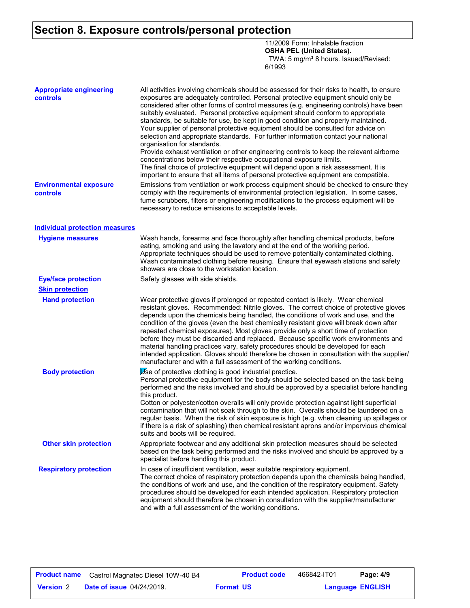### **Section 8. Exposure controls/personal protection**

11/2009 Form: Inhalable fraction **OSHA PEL (United States).** TWA: 5 mg/m<sup>3</sup> 8 hours. Issued/Revised: 6/1993

| <b>Appropriate engineering</b><br>controls | All activities involving chemicals should be assessed for their risks to health, to ensure<br>exposures are adequately controlled. Personal protective equipment should only be<br>considered after other forms of control measures (e.g. engineering controls) have been<br>suitably evaluated. Personal protective equipment should conform to appropriate<br>standards, be suitable for use, be kept in good condition and properly maintained.<br>Your supplier of personal protective equipment should be consulted for advice on<br>selection and appropriate standards. For further information contact your national<br>organisation for standards.<br>Provide exhaust ventilation or other engineering controls to keep the relevant airborne<br>concentrations below their respective occupational exposure limits.<br>The final choice of protective equipment will depend upon a risk assessment. It is<br>important to ensure that all items of personal protective equipment are compatible. |
|--------------------------------------------|------------------------------------------------------------------------------------------------------------------------------------------------------------------------------------------------------------------------------------------------------------------------------------------------------------------------------------------------------------------------------------------------------------------------------------------------------------------------------------------------------------------------------------------------------------------------------------------------------------------------------------------------------------------------------------------------------------------------------------------------------------------------------------------------------------------------------------------------------------------------------------------------------------------------------------------------------------------------------------------------------------|
| <b>Environmental exposure</b><br>controls  | Emissions from ventilation or work process equipment should be checked to ensure they<br>comply with the requirements of environmental protection legislation. In some cases,<br>fume scrubbers, filters or engineering modifications to the process equipment will be<br>necessary to reduce emissions to acceptable levels.                                                                                                                                                                                                                                                                                                                                                                                                                                                                                                                                                                                                                                                                              |
| <b>Individual protection measures</b>      |                                                                                                                                                                                                                                                                                                                                                                                                                                                                                                                                                                                                                                                                                                                                                                                                                                                                                                                                                                                                            |
| <b>Hygiene measures</b>                    | Wash hands, forearms and face thoroughly after handling chemical products, before<br>eating, smoking and using the lavatory and at the end of the working period.<br>Appropriate techniques should be used to remove potentially contaminated clothing.<br>Wash contaminated clothing before reusing. Ensure that eyewash stations and safety<br>showers are close to the workstation location.                                                                                                                                                                                                                                                                                                                                                                                                                                                                                                                                                                                                            |
| <b>Eye/face protection</b>                 | Safety glasses with side shields.                                                                                                                                                                                                                                                                                                                                                                                                                                                                                                                                                                                                                                                                                                                                                                                                                                                                                                                                                                          |
| <b>Skin protection</b>                     |                                                                                                                                                                                                                                                                                                                                                                                                                                                                                                                                                                                                                                                                                                                                                                                                                                                                                                                                                                                                            |
| <b>Hand protection</b>                     | Wear protective gloves if prolonged or repeated contact is likely. Wear chemical<br>resistant gloves. Recommended: Nitrile gloves. The correct choice of protective gloves<br>depends upon the chemicals being handled, the conditions of work and use, and the<br>condition of the gloves (even the best chemically resistant glove will break down after<br>repeated chemical exposures). Most gloves provide only a short time of protection<br>before they must be discarded and replaced. Because specific work environments and<br>material handling practices vary, safety procedures should be developed for each<br>intended application. Gloves should therefore be chosen in consultation with the supplier/<br>manufacturer and with a full assessment of the working conditions.                                                                                                                                                                                                              |
| <b>Body protection</b>                     | Use of protective clothing is good industrial practice.<br>Personal protective equipment for the body should be selected based on the task being<br>performed and the risks involved and should be approved by a specialist before handling<br>this product.<br>Cotton or polyester/cotton overalls will only provide protection against light superficial<br>contamination that will not soak through to the skin. Overalls should be laundered on a<br>regular basis. When the risk of skin exposure is high (e.g. when cleaning up spillages or<br>if there is a risk of splashing) then chemical resistant aprons and/or impervious chemical<br>suits and boots will be required.                                                                                                                                                                                                                                                                                                                      |
| <b>Other skin protection</b>               | Appropriate footwear and any additional skin protection measures should be selected<br>based on the task being performed and the risks involved and should be approved by a<br>specialist before handling this product.                                                                                                                                                                                                                                                                                                                                                                                                                                                                                                                                                                                                                                                                                                                                                                                    |
| <b>Respiratory protection</b>              | In case of insufficient ventilation, wear suitable respiratory equipment.<br>The correct choice of respiratory protection depends upon the chemicals being handled,<br>the conditions of work and use, and the condition of the respiratory equipment. Safety<br>procedures should be developed for each intended application. Respiratory protection<br>equipment should therefore be chosen in consultation with the supplier/manufacturer<br>and with a full assessment of the working conditions.                                                                                                                                                                                                                                                                                                                                                                                                                                                                                                      |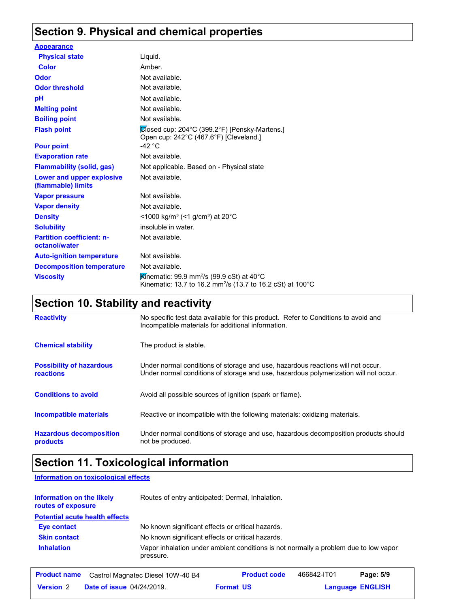### **Section 9. Physical and chemical properties**

| <b>Appearance</b>                                 |                                                                                                                                                    |
|---------------------------------------------------|----------------------------------------------------------------------------------------------------------------------------------------------------|
| <b>Physical state</b>                             | Liquid.                                                                                                                                            |
| <b>Color</b>                                      | Amber.                                                                                                                                             |
| Odor                                              | Not available.                                                                                                                                     |
| <b>Odor threshold</b>                             | Not available.                                                                                                                                     |
| pH                                                | Not available.                                                                                                                                     |
| <b>Melting point</b>                              | Not available.                                                                                                                                     |
| <b>Boiling point</b>                              | Not available.                                                                                                                                     |
| <b>Flash point</b>                                | $\mathcal O$ losed cup: 204 °C (399.2 °F) [Pensky-Martens.]<br>Open cup: 242°C (467.6°F) [Cleveland.]                                              |
| <b>Pour point</b>                                 | -42 $^{\circ}$ C                                                                                                                                   |
| <b>Evaporation rate</b>                           | Not available.                                                                                                                                     |
| <b>Flammability (solid, gas)</b>                  | Not applicable. Based on - Physical state                                                                                                          |
| Lower and upper explosive<br>(flammable) limits   | Not available.                                                                                                                                     |
| <b>Vapor pressure</b>                             | Not available.                                                                                                                                     |
| <b>Vapor density</b>                              | Not available.                                                                                                                                     |
| <b>Density</b>                                    | <1000 kg/m <sup>3</sup> (<1 g/cm <sup>3</sup> ) at 20°C                                                                                            |
| <b>Solubility</b>                                 | insoluble in water.                                                                                                                                |
| <b>Partition coefficient: n-</b><br>octanol/water | Not available.                                                                                                                                     |
| <b>Auto-ignition temperature</b>                  | Not available.                                                                                                                                     |
| <b>Decomposition temperature</b>                  | Not available.                                                                                                                                     |
| <b>Viscosity</b>                                  | <b>K</b> inematic: 99.9 mm <sup>2</sup> /s (99.9 cSt) at 40 $^{\circ}$ C<br>Kinematic: 13.7 to 16.2 mm <sup>2</sup> /s (13.7 to 16.2 cSt) at 100°C |

## **Section 10. Stability and reactivity**

| <b>Reactivity</b>                                   | No specific test data available for this product. Refer to Conditions to avoid and<br>Incompatible materials for additional information.                                |
|-----------------------------------------------------|-------------------------------------------------------------------------------------------------------------------------------------------------------------------------|
| <b>Chemical stability</b>                           | The product is stable.                                                                                                                                                  |
| <b>Possibility of hazardous</b><br><b>reactions</b> | Under normal conditions of storage and use, hazardous reactions will not occur.<br>Under normal conditions of storage and use, hazardous polymerization will not occur. |
| <b>Conditions to avoid</b>                          | Avoid all possible sources of ignition (spark or flame).                                                                                                                |
| Incompatible materials                              | Reactive or incompatible with the following materials: oxidizing materials.                                                                                             |
| <b>Hazardous decomposition</b><br>products          | Under normal conditions of storage and use, hazardous decomposition products should<br>not be produced.                                                                 |

## **Section 11. Toxicological information**

**Information on toxicological effects**

| Information on the likely<br>routes of exposure |                                   | Routes of entry anticipated: Dermal, Inhalation.                                     |             |                         |
|-------------------------------------------------|-----------------------------------|--------------------------------------------------------------------------------------|-------------|-------------------------|
| <b>Potential acute health effects</b>           |                                   |                                                                                      |             |                         |
| <b>Eye contact</b>                              |                                   | No known significant effects or critical hazards.                                    |             |                         |
| <b>Skin contact</b>                             |                                   | No known significant effects or critical hazards.                                    |             |                         |
| <b>Inhalation</b>                               | pressure.                         | Vapor inhalation under ambient conditions is not normally a problem due to low vapor |             |                         |
| <b>Product name</b>                             | Castrol Magnatec Diesel 10W-40 B4 | <b>Product code</b>                                                                  | 466842-IT01 | Page: 5/9               |
| <b>Version 2</b>                                | <b>Date of issue 04/24/2019.</b>  | <b>Format US</b>                                                                     |             | <b>Language ENGLISH</b> |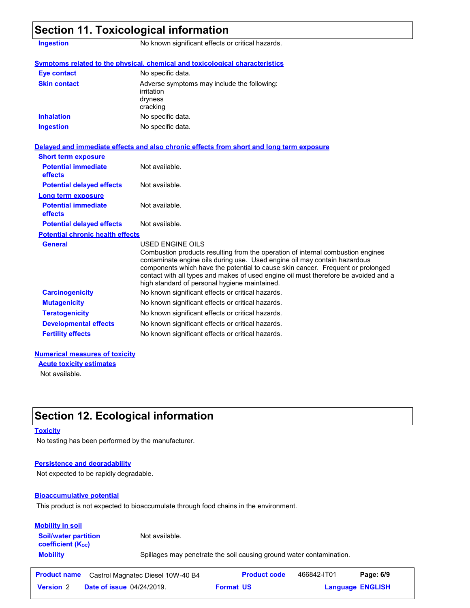| <b>Ingestion</b>                             | No known significant effects or critical hazards.                                                                                                                                                                                                                                                                                                                                                           |  |
|----------------------------------------------|-------------------------------------------------------------------------------------------------------------------------------------------------------------------------------------------------------------------------------------------------------------------------------------------------------------------------------------------------------------------------------------------------------------|--|
|                                              | Symptoms related to the physical, chemical and toxicological characteristics                                                                                                                                                                                                                                                                                                                                |  |
| <b>Eye contact</b>                           | No specific data.                                                                                                                                                                                                                                                                                                                                                                                           |  |
| <b>Skin contact</b>                          | Adverse symptoms may include the following:<br>irritation<br>dryness<br>cracking                                                                                                                                                                                                                                                                                                                            |  |
| <b>Inhalation</b>                            | No specific data.                                                                                                                                                                                                                                                                                                                                                                                           |  |
| <b>Ingestion</b>                             | No specific data.                                                                                                                                                                                                                                                                                                                                                                                           |  |
|                                              | Delayed and immediate effects and also chronic effects from short and long term exposure                                                                                                                                                                                                                                                                                                                    |  |
| <b>Short term exposure</b>                   |                                                                                                                                                                                                                                                                                                                                                                                                             |  |
| <b>Potential immediate</b><br>effects        | Not available.                                                                                                                                                                                                                                                                                                                                                                                              |  |
| <b>Potential delayed effects</b>             | Not available.                                                                                                                                                                                                                                                                                                                                                                                              |  |
| Long term exposure                           |                                                                                                                                                                                                                                                                                                                                                                                                             |  |
| <b>Potential immediate</b><br><b>effects</b> | Not available.                                                                                                                                                                                                                                                                                                                                                                                              |  |
| <b>Potential delayed effects</b>             | Not available.                                                                                                                                                                                                                                                                                                                                                                                              |  |
| <b>Potential chronic health effects</b>      |                                                                                                                                                                                                                                                                                                                                                                                                             |  |
| <b>General</b>                               | USED ENGINE OILS<br>Combustion products resulting from the operation of internal combustion engines<br>contaminate engine oils during use. Used engine oil may contain hazardous<br>components which have the potential to cause skin cancer. Frequent or prolonged<br>contact with all types and makes of used engine oil must therefore be avoided and a<br>high standard of personal hygiene maintained. |  |
| <b>Carcinogenicity</b>                       | No known significant effects or critical hazards.                                                                                                                                                                                                                                                                                                                                                           |  |
| <b>Mutagenicity</b>                          | No known significant effects or critical hazards.                                                                                                                                                                                                                                                                                                                                                           |  |
|                                              | No known significant effects or critical hazards.                                                                                                                                                                                                                                                                                                                                                           |  |
| <b>Teratogenicity</b>                        |                                                                                                                                                                                                                                                                                                                                                                                                             |  |
| <b>Developmental effects</b>                 | No known significant effects or critical hazards.                                                                                                                                                                                                                                                                                                                                                           |  |

Not available.

### **Section 12. Ecological information**

### **Toxicity**

No testing has been performed by the manufacturer.

### **Persistence and degradability**

Not expected to be rapidly degradable.

#### **Bioaccumulative potential**

This product is not expected to bioaccumulate through food chains in the environment.

| <b>Mobility in soil</b><br><b>Soil/water partition</b> | Not available.                                                       |
|--------------------------------------------------------|----------------------------------------------------------------------|
| <b>coefficient</b> (K <sub>oc</sub> )                  |                                                                      |
| <b>Mobility</b>                                        | Spillages may penetrate the soil causing ground water contamination. |

|                  | <b>Product name</b> Castrol Magnatec Diesel 10W-40 B4 | <b>Product code</b> | 466842-IT01 | Page: 6/9               |  |
|------------------|-------------------------------------------------------|---------------------|-------------|-------------------------|--|
| <b>Version 2</b> | <b>Date of issue 04/24/2019.</b>                      | <b>Format US</b>    |             | <b>Language ENGLISH</b> |  |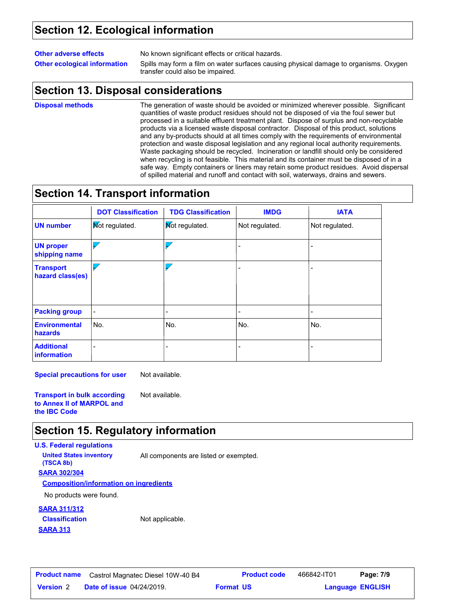### **Section 12. Ecological information**

### **Other adverse effects** No known significant effects or critical hazards. **Other ecological information** Spills may form a film on water surfaces causing physical damage to organisms. Oxygen

transfer could also be impaired.

### **Section 13. Disposal considerations**

**Disposal methods**

The generation of waste should be avoided or minimized wherever possible. Significant quantities of waste product residues should not be disposed of via the foul sewer but processed in a suitable effluent treatment plant. Dispose of surplus and non-recyclable products via a licensed waste disposal contractor. Disposal of this product, solutions and any by-products should at all times comply with the requirements of environmental protection and waste disposal legislation and any regional local authority requirements. Waste packaging should be recycled. Incineration or landfill should only be considered when recycling is not feasible. This material and its container must be disposed of in a safe way. Empty containers or liners may retain some product residues. Avoid dispersal of spilled material and runoff and contact with soil, waterways, drains and sewers.

### **Section 14. Transport information**

|                                      | <b>DOT Classification</b> | <b>TDG Classification</b> | <b>IMDG</b>              | <b>IATA</b>    |
|--------------------------------------|---------------------------|---------------------------|--------------------------|----------------|
| <b>UN number</b>                     | <b>Not regulated.</b>     | Mot regulated.            | Not regulated.           | Not regulated. |
| <b>UN proper</b><br>shipping name    |                           | Ь                         |                          |                |
| <b>Transport</b><br>hazard class(es) |                           |                           |                          | ۰              |
| <b>Packing group</b>                 |                           | -                         | -                        | ٠              |
| <b>Environmental</b><br>hazards      | No.                       | No.                       | No.                      | No.            |
| <b>Additional</b><br>information     |                           |                           | $\overline{\phantom{0}}$ |                |

**Special precautions for user** Not available.

**Transport in bulk according to Annex II of MARPOL and the IBC Code**

### **Section 15. Regulatory information**

#### **U.S. Federal regulations**

**(TSCA 8b)**

**United States inventory** All components are listed or exempted.

#### **SARA 302/304**

**Composition/information on ingredients**

No products were found.

#### **SARA 311/312**

**SARA 313 Classification** Not applicable.

Not available.

**Date of issue** 04/24/2019. **Version** 2 **Format Language Product name** Castrol Magnatec Diesel 10W-40 B4 **Product code** 466842-IT01 **Page: 7/9** |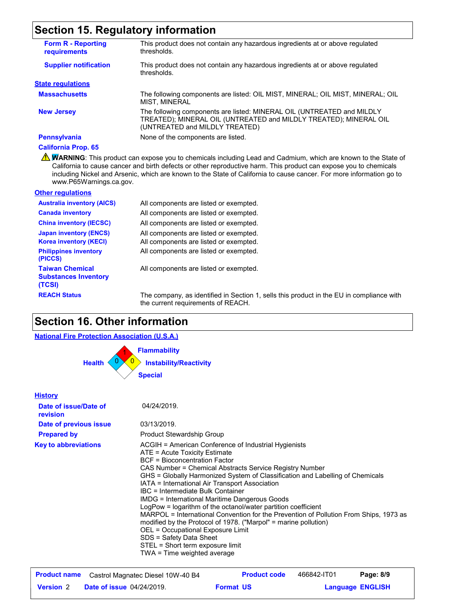### **Section 15. Regulatory information**

| <b>Form R - Reporting</b><br><b>requirements</b> | This product does not contain any hazardous ingredients at or above regulated<br>thresholds.                                                                                  |
|--------------------------------------------------|-------------------------------------------------------------------------------------------------------------------------------------------------------------------------------|
| <b>Supplier notification</b>                     | This product does not contain any hazardous ingredients at or above regulated<br>thresholds.                                                                                  |
| <b>State regulations</b>                         |                                                                                                                                                                               |
| <b>Massachusetts</b>                             | The following components are listed: OIL MIST, MINERAL; OIL MIST, MINERAL; OIL<br>MIST. MINERAL                                                                               |
| <b>New Jersey</b>                                | The following components are listed: MINERAL OIL (UNTREATED and MILDLY<br>TREATED); MINERAL OIL (UNTREATED and MILDLY TREATED); MINERAL OIL<br>(UNTREATED and MILDLY TREATED) |
| <b>Pennsylvania</b>                              | None of the components are listed.                                                                                                                                            |
|                                                  |                                                                                                                                                                               |

#### **California Prop. 65**

**A WARNING**: This product can expose you to chemicals including Lead and Cadmium, which are known to the State of California to cause cancer and birth defects or other reproductive harm. This product can expose you to chemicals including Nickel and Arsenic, which are known to the State of California to cause cancer. For more information go to www.P65Warnings.ca.gov.

#### **Other regulations**

| <b>Australia inventory (AICS)</b>                               | All components are listed or exempted.                                                   |
|-----------------------------------------------------------------|------------------------------------------------------------------------------------------|
| <b>Canada inventory</b>                                         | All components are listed or exempted.                                                   |
| <b>China inventory (IECSC)</b>                                  | All components are listed or exempted.                                                   |
| <b>Japan inventory (ENCS)</b>                                   | All components are listed or exempted.                                                   |
| <b>Korea inventory (KECI)</b>                                   | All components are listed or exempted.                                                   |
| <b>Philippines inventory</b><br>(PICCS)                         | All components are listed or exempted.                                                   |
| <b>Taiwan Chemical</b><br><b>Substances Inventory</b><br>(TCSI) | All components are listed or exempted.                                                   |
| <b>REACH Status</b>                                             | The company, as identified in Section 1, sells this product in the EU in compliance with |

the current requirements of REACH.

### **Section 16. Other information**

#### **National Fire Protection Association (U.S.A.)**



#### **History Date of issue/Date of revision Prepared by Date of previous issue Key to abbreviations** ACGIH = American Conference of Industrial Hygienists ATE = Acute Toxicity Estimate BCF = Bioconcentration Factor CAS Number = Chemical Abstracts Service Registry Number GHS = Globally Harmonized System of Classification and Labelling of Chemicals IATA = International Air Transport Association IBC = Intermediate Bulk Container IMDG = International Maritime Dangerous Goods LogPow = logarithm of the octanol/water partition coefficient MARPOL = International Convention for the Prevention of Pollution From Ships, 1973 as modified by the Protocol of 1978. ("Marpol" = marine pollution) OEL = Occupational Exposure Limit SDS = Safety Data Sheet STEL = Short term exposure limit TWA = Time weighted average 04/24/2019. 03/13/2019. Product Stewardship Group **Product name** Castrol Magnatec Diesel 10W-40 B4 **Product code** 466842-IT01 **Page: 8/9** | 466842-IT01

**Date of issue** 04/24/2019. **Version** 2 **Format Language**

**Format US** 

**Language ENGLISH**